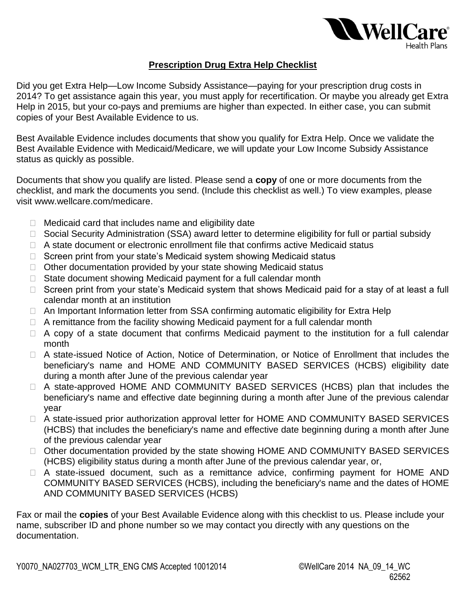

## **Prescription Drug Extra Help Checklist**

 Help in 2015, but your co-pays and premiums are higher than expected. In either case, you can submit copies of your Best Available Evidence to us. Did you get Extra Help—Low Income Subsidy Assistance—paying for your prescription drug costs in 2014? To get assistance again this year, you must apply for recertification. Or maybe you already get Extra

 Best Available Evidence includes documents that show you qualify for Extra Help. Once we validate the Best Available Evidence with Medicaid/Medicare, we will update your Low Income Subsidy Assistance status as quickly as possible.

 Documents that show you qualify are listed. Please send a **copy** of one or more documents from the checklist, and mark the documents you send. (Include this checklist as well.) To view examples, please visit www.wellcare.com/medicare.

- □ Medicaid card that includes name and eligibility date
- □ Social Security Administration (SSA) award letter to determine eligibility for full or partial subsidy Medicaid card that includes name and eligibility date<br>Social Security Administration (SSA) award letter to determine eligibility for full or partial subsidy<br>A state document or electronic enrollment file that confirms acti
- □ A state document or electronic enrollment file that confirms active Medicaid status
- □ Screen print from your state's Medicaid system showing Medicaid status
- □ Other documentation provided by your state showing Medicaid status
- □ State document showing Medicaid payment for a full calendar month
- □ Screen print from your state's Medicaid system that shows Medicaid paid for a stay of at least a full calendar month at an institution
- □ An Important Information letter from SSA confirming automatic eligibility for Extra Help
- □ A remittance from the facility showing Medicaid payment for a full calendar month
- □ A copy of a state document that confirms Medicaid payment to the institution for a full calendar month
- A state-issued Notice of Action, Notice of Determination, or Notice of Enrollment that includes the beneficiary's name and HOME AND COMMUNITY BASED SERVICES (HCBS) eligibility date during a month after June of the previous calendar year
- A state-approved HOME AND COMMUNITY BASED SERVICES (HCBS) plan that includes the beneficiary's name and effective date beginning during a month after June of the previous calendar year
- □ A state-issued prior authorization approval letter for HOME AND COMMUNITY BASED SERVICES (HCBS) that includes the beneficiary's name and effective date beginning during a month after June of the previous calendar year
- □ Other documentation provided by the state showing HOME AND COMMUNITY BASED SERVICES (HCBS) eligibility status during a month after June of the previous calendar year, or,
- A state-issued document, such as a remittance advice, confirming payment for HOME AND COMMUNITY BASED SERVICES (HCBS), including the beneficiary's name and the dates of HOME AND COMMUNITY BASED SERVICES (HCBS)

Fax or mail the **copies** of your Best Available Evidence along with this checklist to us. Please include your name, subscriber ID and phone number so we may contact you directly with any questions on the documentation.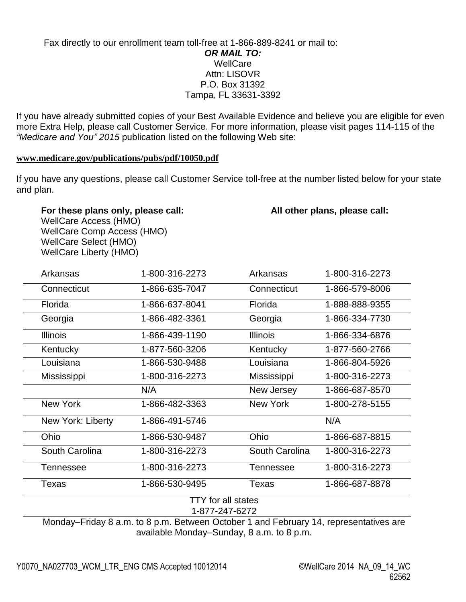## Fax directly to our enrollment team toll-free at 1-866-889-8241 or mail to: *OR MAIL TO:*  WellCare Attn: LISOVR P.O. Box 31392 Tampa, FL 33631-3392

 more Extra Help, please call Customer Service. For more information, please visit pages 114-115 of the *"Medicare and You" 2015* publication listed on the following Web site: If you have already submitted copies of your Best Available Evidence and believe you are eligible for even

## **[www.medicare.gov/publications/pubs/pdf/10050.pdf](http://www.medicare.gov/publications/pubs/pdf/10050.pdf)**

 If you have any questions, please call Customer Service toll-free at the number listed below for your state and plan.

## For these plans only, please call: **All other plans, please call:** All other plans, please call:

 WellCare Access (HMO) WellCare Select (HMO) WellCare Liberty (HMO) WellCare Comp Access (HMO)

| Arkansas          | 1-800-316-2273                              | Arkansas        | 1-800-316-2273 |
|-------------------|---------------------------------------------|-----------------|----------------|
| Connecticut       | 1-866-635-7047                              | Connecticut     | 1-866-579-8006 |
| Florida           | 1-866-637-8041                              | Florida         | 1-888-888-9355 |
| Georgia           | 1-866-482-3361                              | Georgia         | 1-866-334-7730 |
| <b>Illinois</b>   | 1-866-439-1190                              | <b>Illinois</b> | 1-866-334-6876 |
| Kentucky          | 1-877-560-3206                              | Kentucky        | 1-877-560-2766 |
| Louisiana         | 1-866-530-9488                              | Louisiana       | 1-866-804-5926 |
| Mississippi       | 1-800-316-2273                              | Mississippi     | 1-800-316-2273 |
|                   | N/A                                         | New Jersey      | 1-866-687-8570 |
| <b>New York</b>   | 1-866-482-3363                              | <b>New York</b> | 1-800-278-5155 |
| New York: Liberty | 1-866-491-5746                              |                 | N/A            |
| Ohio              | 1-866-530-9487                              | Ohio            | 1-866-687-8815 |
| South Carolina    | 1-800-316-2273                              | South Carolina  | 1-800-316-2273 |
| Tennessee         | 1-800-316-2273                              | Tennessee       | 1-800-316-2273 |
| Texas             | 1-866-530-9495                              | <b>Texas</b>    | 1-866-687-8878 |
|                   | <b>TTY</b> for all states<br>1-877-247-6272 |                 |                |

 Monday–Friday 8 a.m. to 8 p.m. Between October 1 and February 14, representatives are available Monday–Sunday, 8 a.m. to 8 p.m.